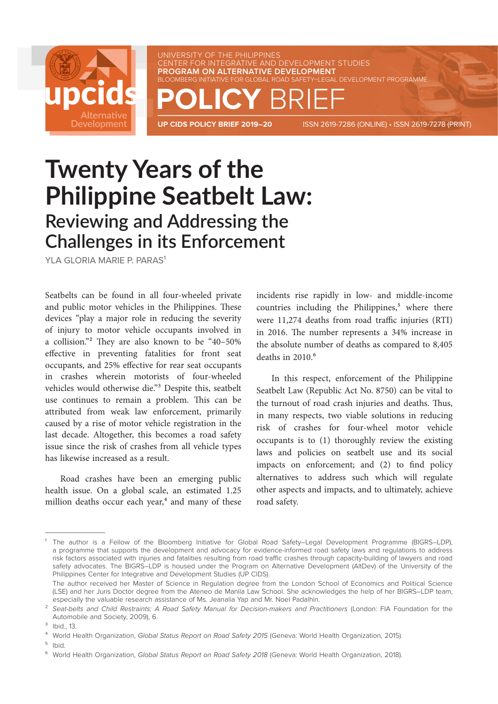

UNIVERSITY OF THE PHILIPPINES CENTER FOR INTEGRATIVE AND DEVELOPMENT STUDIES **PROGRAM ON ALTERNATIVE DEVELOPMENT** BLOOMBERG INITIATIVE FOR GLOBAL ROAD SAFETY–LEGAL DEVELOPMENT PROGRAMME

**POLICY** BRIEF

**UP CIDS POLICY BRIEF 2019–20** ISSN 2619-7286 (ONLINE) • ISSN 2619-7278 (PRINT)

# **Twenty Years of the Philippine Seatbelt Law: Reviewing and Addressing the Challenges in its Enforcement**

YLA GLORIA MARIE P. PARAS<sup>1</sup>

Seatbelts can be found in all four-wheeled private and public motor vehicles in the Philippines. These devices "play a major role in reducing the severity of injury to motor vehicle occupants involved in a collision."2 They are also known to be "40–50% effective in preventing fatalities for front seat occupants, and 25% effective for rear seat occupants in crashes wherein motorists of four-wheeled vehicles would otherwise die."3 Despite this, seatbelt use continues to remain a problem. This can be attributed from weak law enforcement, primarily caused by a rise of motor vehicle registration in the last decade. Altogether, this becomes a road safety issue since the risk of crashes from all vehicle types has likewise increased as a result.

Road crashes have been an emerging public health issue. On a global scale, an estimated 1.25 million deaths occur each year, $4$  and many of these incidents rise rapidly in low- and middle-income countries including the Philippines,<sup>5</sup> where there were 11,274 deaths from road traffic injuries (RTI) in 2016. The number represents a 34% increase in the absolute number of deaths as compared to 8,405 deaths in 2010.<sup>6</sup>

In this respect, enforcement of the Philippine Seatbelt Law (Republic Act No. 8750) can be vital to the turnout of road crash injuries and deaths. Thus, in many respects, two viable solutions in reducing risk of crashes for four-wheel motor vehicle occupants is to (1) thoroughly review the existing laws and policies on seatbelt use and its social impacts on enforcement; and (2) to find policy alternatives to address such which will regulate other aspects and impacts, and to ultimately, achieve road safety.

<sup>5</sup> Ibid.

The author is a Fellow of the Bloomberg Initiative for Global Road Safety–Legal Development Programme (BIGRS–LDP), a programme that supports the development and advocacy for evidence-informed road safety laws and regulations to address risk factors associated with injuries and fatalities resulting from road traffic crashes through capacity-building of lawyers and road safety advocates. The BIGRS–LDP is housed under the Program on Alternative Development (AltDev) of the University of the Philippines Center for Integrative and Development Studies (UP CIDS).

The author received her Master of Science in Regulation degree from the London School of Economics and Political Science (LSE) and her Juris Doctor degree from the Ateneo de Manila Law School. She acknowledges the help of her BIGRS–LDP team, especially the valuable research assistance of Ms. Jeanalia Yap and Mr. Noel Padalhin.

² *Seat-belts and Child Restraints: [A](https://www.who.int/roadsafety/projects/manuals/seatbelt/seat_belt_manual_module_1.pdf?ua=1 ) Road Safety Manual for Decision-makers and Practitioners* (London: FIA Foundation for the Automobile and Society, 2009), 6.

<sup>&</sup>lt;sup>3</sup> Ibid., 13.

⁴ World Health Organization, *Global Status Report on Road Safety 2015* (Geneva: World Health Organization, 2015).

⁶ World Health Organization, *Global Status Report on Road Safety 2018* (Geneva: World Health Organization, 2018).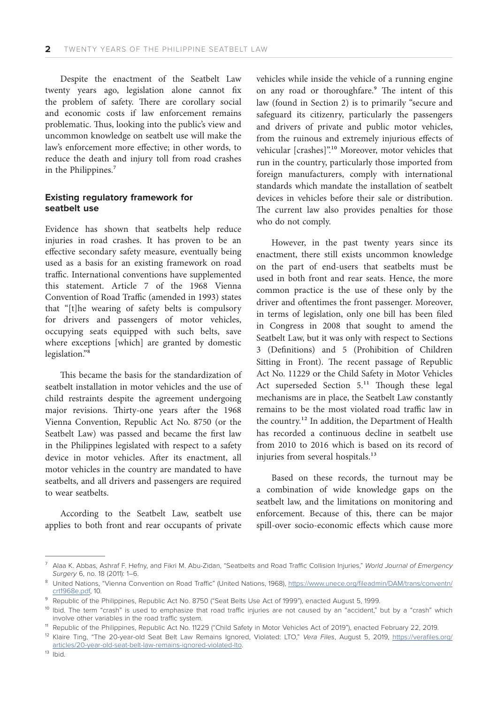Despite the enactment of the Seatbelt Law twenty years ago, legislation alone cannot fix the problem of safety. There are corollary social and economic costs if law enforcement remains problematic. Thus, looking into the public's view and uncommon knowledge on seatbelt use will make the law's enforcement more effective; in other words, to reduce the death and injury toll from road crashes in the Philippines.<sup>7</sup>

## **Existing regulatory framework for seatbelt use**

Evidence has shown that seatbelts help reduce injuries in road crashes. It has proven to be an effective secondary safety measure, eventually being used as a basis for an existing framework on road traffic. International conventions have supplemented this statement. Article 7 of the 1968 Vienna Convention of Road Traffic (amended in 1993) states that "[t]he wearing of safety belts is compulsory for drivers and passengers of motor vehicles, occupying seats equipped with such belts, save where exceptions [which] are granted by domestic legislation."<sup>8</sup>

This became the basis for the standardization of seatbelt installation in motor vehicles and the use of child restraints despite the agreement undergoing major revisions. Thirty-one years after the 1968 Vienna Convention, Republic Act No. 8750 (or the Seatbelt Law) was passed and became the first law in the Philippines legislated with respect to a safety device in motor vehicles. After its enactment, all motor vehicles in the country are mandated to have seatbelts, and all drivers and passengers are required to wear seatbelts.

According to the Seatbelt Law, seatbelt use applies to both front and rear occupants of private

vehicles while inside the vehicle of a running engine on any road or thoroughfare.<sup>9</sup> The intent of this law (found in Section 2) is to primarily "secure and safeguard its citizenry, particularly the passengers and drivers of private and public motor vehicles, from the ruinous and extremely injurious effects of vehicular [crashes]".<sup>10</sup> Moreover, motor vehicles that run in the country, particularly those imported from foreign manufacturers, comply with international standards which mandate the installation of seatbelt devices in vehicles before their sale or distribution. The current law also provides penalties for those who do not comply.

However, in the past twenty years since its enactment, there still exists uncommon knowledge on the part of end-users that seatbelts must be used in both front and rear seats. Hence, the more common practice is the use of these only by the driver and oftentimes the front passenger. Moreover, in terms of legislation, only one bill has been filed in Congress in 2008 that sought to amend the Seatbelt Law, but it was only with respect to Sections 3 (Definitions) and 5 (Prohibition of Children Sitting in Front). The recent passage of Republic Act No. 11229 or the Child Safety in Motor Vehicles Act superseded Section 5.<sup>11</sup> Though these legal mechanisms are in place, the Seatbelt Law constantly remains to be the most violated road traffic law in the country.12 In addition, the Department of Health has recorded a continuous decline in seatbelt use from 2010 to 2016 which is based on its record of injuries from several hospitals.<sup>13</sup>

Based on these records, the turnout may be a combination of wide knowledge gaps on the seatbelt law, and the limitations on monitoring and enforcement. Because of this, there can be major spill-over socio-economic effects which cause more

⁷ Alaa K. Abbas, Ashraf F. Hefny, and Fikri M. Abu-Zidan, "Seatbelts and Road Traffic Collision Injuries," *World Journal of Emergency Surgery* 6, no. 18 (2011): 1–6.

<sup>&</sup>lt;sup>8</sup> United Nations, "Vienna Convention on Road Traffic" (United Nations, 1968), [https://www.unece.org/fileadmin/DAM/trans/conventn/](https://www.unece.org/fileadmin/DAM/trans/conventn/crt1968e.pdf) [crt1968e.pdf,](https://www.unece.org/fileadmin/DAM/trans/conventn/crt1968e.pdf) 10.

<sup>&</sup>lt;sup>9</sup> Republic of the Philippines, Republic Act No. 8750 ("Seat Belts Use Act of 1999"), enacted August 5, 1999.

<sup>&</sup>lt;sup>10</sup> Ibid. The term "crash" is used to emphasize that road traffic injuries are not caused by an "accident," but by a "crash" which involve other variables in the road traffic system.

<sup>&</sup>lt;sup>11</sup> Republic of the Philippines, Republic Act No. 11229 ("Child Safety in Motor Vehicles Act of 2019"), enacted February 22, 2019.

<sup>&</sup>lt;sup>12</sup> Klaire Ting, "The 20-year-old Seat Belt Law Remains Ignored, Violated: LTO," Vera Files, August 5, 2019, [https://verafiles.org/](https://verafiles.org/articles/20-year-old-seat-belt-law-remains-ignored-violated-lto) [articles/20-year-old-seat-belt-law-remains-ignored-violated-lto](https://verafiles.org/articles/20-year-old-seat-belt-law-remains-ignored-violated-lto).

 $13$  Ibid.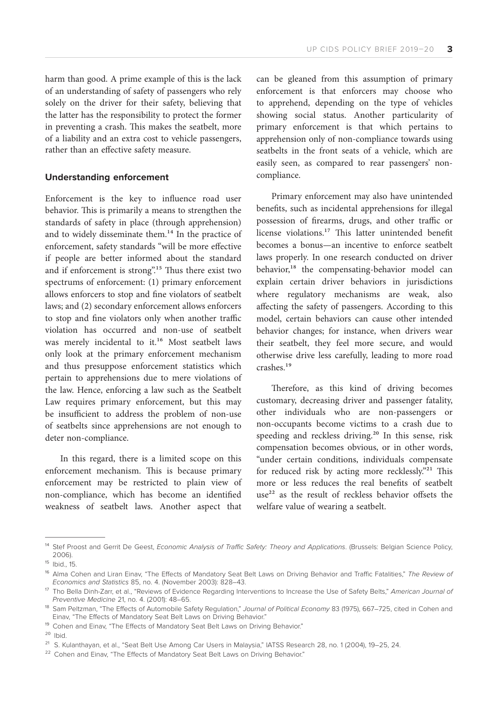harm than good. A prime example of this is the lack of an understanding of safety of passengers who rely solely on the driver for their safety, believing that the latter has the responsibility to protect the former in preventing a crash. This makes the seatbelt, more of a liability and an extra cost to vehicle passengers, rather than an effective safety measure.

## **Understanding enforcement**

Enforcement is the key to influence road user behavior. This is primarily a means to strengthen the standards of safety in place (through apprehension) and to widely disseminate them.<sup>14</sup> In the practice of enforcement, safety standards "will be more effective if people are better informed about the standard and if enforcement is strong".<sup>15</sup> Thus there exist two spectrums of enforcement: (1) primary enforcement allows enforcers to stop and fine violators of seatbelt laws; and (2) secondary enforcement allows enforcers to stop and fine violators only when another traffic violation has occurred and non-use of seatbelt was merely incidental to it.<sup>16</sup> Most seatbelt laws only look at the primary enforcement mechanism and thus presuppose enforcement statistics which pertain to apprehensions due to mere violations of the law. Hence, enforcing a law such as the Seatbelt Law requires primary enforcement, but this may be insufficient to address the problem of non-use of seatbelts since apprehensions are not enough to deter non-compliance.

In this regard, there is a limited scope on this enforcement mechanism. This is because primary enforcement may be restricted to plain view of non-compliance, which has become an identified weakness of seatbelt laws. Another aspect that

can be gleaned from this assumption of primary enforcement is that enforcers may choose who to apprehend, depending on the type of vehicles showing social status. Another particularity of primary enforcement is that which pertains to apprehension only of non-compliance towards using seatbelts in the front seats of a vehicle, which are easily seen, as compared to rear passengers' noncompliance.

Primary enforcement may also have unintended benefits, such as incidental apprehensions for illegal possession of firearms, drugs, and other traffic or license violations.<sup>17</sup> This latter unintended benefit becomes a bonus—an incentive to enforce seatbelt laws properly. In one research conducted on driver behavior,<sup>18</sup> the compensating-behavior model can explain certain driver behaviors in jurisdictions where regulatory mechanisms are weak, also affecting the safety of passengers. According to this model, certain behaviors can cause other intended behavior changes; for instance, when drivers wear their seatbelt, they feel more secure, and would otherwise drive less carefully, leading to more road crashes.19

Therefore, as this kind of driving becomes customary, decreasing driver and passenger fatality, other individuals who are non-passengers or non-occupants become victims to a crash due to speeding and reckless driving.<sup>20</sup> In this sense, risk compensation becomes obvious, or in other words, "under certain conditions, individuals compensate for reduced risk by acting more recklessly."<sup>21</sup> This more or less reduces the real benefits of seatbelt use<sup>22</sup> as the result of reckless behavior offsets the welfare value of wearing a seatbelt.

<sup>19</sup> Cohen and Einav, "The Effects of Mandatory Seat Belt Laws on Driving Behavior."

<sup>&</sup>lt;sup>14</sup> Stef P[ro](http://www.belspo.be/belspo/organisation/Publ/pub_ostc/CPtrans/rappCP38_en.pdf 15Ibid. )ost and Gerrit De Geest, *Economic Analysis of Traffic Safety: Theory and Applications*. (Brussels: Belgian Science Policy, 2006).

 $15$  Ibid., 15.

<sup>&</sup>lt;sup>16</sup> Alma Cohen and Liran Einav, "The Effects of Mandatory Seat Belt Laws on Driving Behavior and Traffic Fatalities," The Review of *Economics and Statistics* 85, no. 4. (November 2003): 828–43.

<sup>&</sup>lt;sup>17</sup> Tho Bella Dinh-Zarr, et al., "Reviews of Evidence Regarding Interventions to Increase the Use of Safety Belts," American Journal of *Preventive Medicine* 21, no. 4. (2001): 48–65.

<sup>&</sup>lt;sup>18</sup> Sam Peltzman, "The Effects of Automobile Safety Regulation," *Journal of Political Economy* 83 (1975), 667–725, cited in Cohen and Einav, "The Effects of Mandatory Seat Belt Laws on Driving Behavior."

<sup>&</sup>lt;sup>20</sup> Ibid.

<sup>&</sup>lt;sup>21</sup> S. Kulanthayan, et al., "Seat Belt Use Among Car Users in Malaysia," IATSS Research 28, no. 1 (2004), 19-25, 24.

<sup>&</sup>lt;sup>22</sup> Cohen and Einav, "The Effects of Mandatory Seat Belt Laws on Driving Behavior."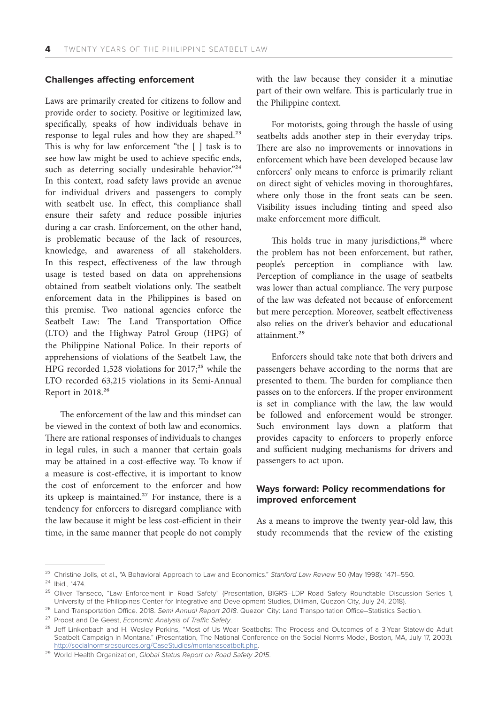### **Challenges affecting enforcement**

Laws are primarily created for citizens to follow and provide order to society. Positive or legitimized law, specifically, speaks of how individuals behave in response to legal rules and how they are shaped.<sup>23</sup> This is why for law enforcement "the [ ] task is to see how law might be used to achieve specific ends, such as deterring socially undesirable behavior."24 In this context, road safety laws provide an avenue for individual drivers and passengers to comply with seatbelt use. In effect, this compliance shall ensure their safety and reduce possible injuries during a car crash. Enforcement, on the other hand, is problematic because of the lack of resources, knowledge, and awareness of all stakeholders. In this respect, effectiveness of the law through usage is tested based on data on apprehensions obtained from seatbelt violations only. The seatbelt enforcement data in the Philippines is based on this premise. Two national agencies enforce the Seatbelt Law: The Land Transportation Office (LTO) and the Highway Patrol Group (HPG) of the Philippine National Police. In their reports of apprehensions of violations of the Seatbelt Law, the HPG recorded 1,528 violations for  $2017$ ;<sup>25</sup> while the LTO recorded 63,215 violations in its Semi-Annual Report in 2018.<sup>26</sup>

The enforcement of the law and this mindset can be viewed in the context of both law and economics. There are rational responses of individuals to changes in legal rules, in such a manner that certain goals may be attained in a cost-effective way. To know if a measure is cost-effective, it is important to know the cost of enforcement to the enforcer and how its upkeep is maintained. $27$  For instance, there is a tendency for enforcers to disregard compliance with the law because it might be less cost-efficient in their time, in the same manner that people do not comply with the law because they consider it a minutiae part of their own welfare. This is particularly true in the Philippine context.

For motorists, going through the hassle of using seatbelts adds another step in their everyday trips. There are also no improvements or innovations in enforcement which have been developed because law enforcers' only means to enforce is primarily reliant on direct sight of vehicles moving in thoroughfares, where only those in the front seats can be seen. Visibility issues including tinting and speed also make enforcement more difficult.

This holds true in many jurisdictions, $28$  where the problem has not been enforcement, but rather, people's perception in compliance with law. Perception of compliance in the usage of seatbelts was lower than actual compliance. The very purpose of the law was defeated not because of enforcement but mere perception. Moreover, seatbelt effectiveness also relies on the driver's behavior and educational attainment.29

Enforcers should take note that both drivers and passengers behave according to the norms that are presented to them. The burden for compliance then passes on to the enforcers. If the proper environment is set in compliance with the law, the law would be followed and enforcement would be stronger. Such environment lays down a platform that provides capacity to enforcers to properly enforce and sufficient nudging mechanisms for drivers and passengers to act upon.

# **Ways forward: Policy recommendations for improved enforcement**

As a means to improve the twenty year-old law, this study recommends that the review of the existing

<sup>&</sup>lt;sup>23</sup> Christine Jolls, et al., "A Behavioral Approach to Law and Economics." Stanford Law Review 50 (May 1998): 1471–550. <sup>24</sup> Ibid., 1474.

<sup>&</sup>lt;sup>25</sup> Oliver Tanseco, "Law Enforcement in Road Safety" (Presentation, BIGRS–LDP Road Safety Roundtable Discussion Series 1, University of the Philippines Center for Integrative and Development Studies, Diliman, Quezon City, July 24, 2018).

²⁶ Land Transportation Office. 2018. *Semi Annual Report 2018*. Quezon City: Land Transportation Office–Statistics Section.

<sup>&</sup>lt;sup>27</sup> Proost and De Geest, *Economic Analysis of Traffic Safety*.

<sup>&</sup>lt;sup>28</sup> Jeff Linkenbach and H. Wesley Perkins, "Most of Us Wear Seatbelts: The Process and Outcomes of a 3-Year Statewide Adult Seatbelt Campaign in Montana." (Presentation, The National Conference on the Social Norms Model, Boston, MA, July 17, 2003). [http://socialnormsresources.org/CaseStudies/montanaseatbelt.php.](http://socialnormsresources.org/CaseStudies/montanaseatbelt.php)

<sup>&</sup>lt;sup>29</sup> World Health Organization, Global Status Report on Road Safety 2015.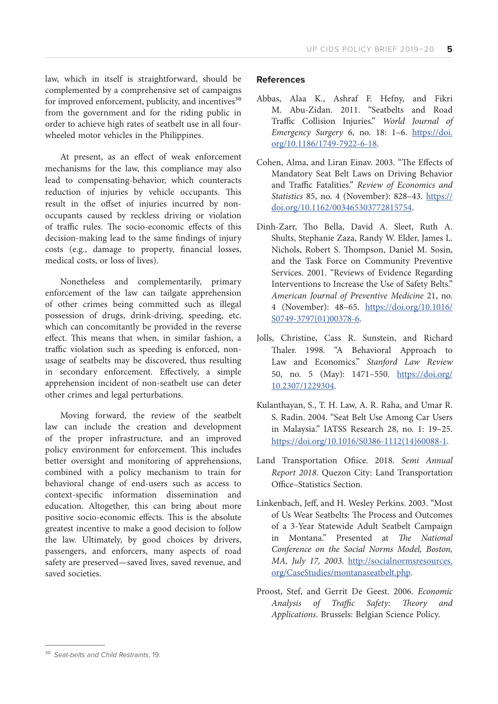law, which in itself is straightforward, should be complemented by a comprehensive set of campaigns for improved enforcement, publicity, and incentives<sup>30</sup> from the government and for the riding public in order to achieve high rates of seatbelt use in all fourwheeled motor vehicles in the Philippines.

At present, as an effect of weak enforcement mechanisms for the law, this compliance may also lead to compensating-behavior, which counteracts reduction of injuries by vehicle occupants. This result in the offset of injuries incurred by nonoccupants caused by reckless driving or violation of traffic rules. The socio-economic effects of this decision-making lead to the same findings of injury costs (e.g., damage to property, financial losses, medical costs, or loss of lives).

Nonetheless and complementarily, primary enforcement of the law can tailgate apprehension of other crimes being committed such as illegal possession of drugs, drink-driving, speeding, etc. which can concomitantly be provided in the reverse effect. This means that when, in similar fashion, a traffic violation such as speeding is enforced, nonusage of seatbelts may be discovered, thus resulting in secondary enforcement. Effectively, a simple apprehension incident of non-seatbelt use can deter other crimes and legal perturbations.

Moving forward, the review of the seatbelt law can include the creation and development of the proper infrastructure, and an improved policy environment for enforcement. This includes better oversight and monitoring of apprehensions, combined with a policy mechanism to train for behavioral change of end-users such as access to context-specific information dissemination and education. Altogether, this can bring about more positive socio-economic effects. This is the absolute greatest incentive to make a good decision to follow the law. Ultimately, by good choices by drivers, passengers, and enforcers, many aspects of road safety are preserved—saved lives, saved revenue, and saved societies.

## **References**

- Abbas, Alaa K., Ashraf F. Hefny, and Fikri M. Abu-Zidan. 2011. "Seatbelts and Road Traffic Collision Injuries." *World Journal of Emergency Surgery* 6, no. 18: 1–6. [https://doi.](https://doi.org/10.1186/1749-7922-6-18) [org/10.1186/1749-7922-6-18.](https://doi.org/10.1186/1749-7922-6-18)
- Cohen, Alma, and Liran Einav. 2003. "The Effects of Mandatory Seat Belt Laws on Driving Behavior and Traffic Fatalities." *Review of Economics and Statistics* 85, no. 4 (November): 828–43. [https://](https://doi.org/10.1162/003465303772815754) [doi.org/10.1162/003465303772815754](https://doi.org/10.1162/003465303772815754).
- Dinh-Zarr, Tho Bella, David A. Sleet, Ruth A. Shults, Stephanie Zaza, Randy W. Elder, James L. Nichols, Robert S. Thompson, Daniel M. Sosin, and the Task Force on Community Preventive Services. 2001. "Reviews of Evidence Regarding Interventions to Increase the Use of Safety Belts." *American Journal of Preventive Medicine* 21, no. 4 (November): 48–65. [https://doi.org/10.1016/](https://doi.org/10.1016/S0749-3797(01)00378-6) [S0749-3797\(01\)00378-6.](https://doi.org/10.1016/S0749-3797(01)00378-6)
- Jolls, Christine, Cass R. Sunstein, and Richard Thaler. 1998. "A Behavioral Approach to Law and Economics." *Stanford Law Review* 50, no. 5 (May): 1471–550. [https://doi.org/](https://doi.org/10.2307/1229304) [10.2307/1229304](https://doi.org/10.2307/1229304).
- Kulanthayan, S., T. H. Law, A. R. Raha, and Umar R. S. Radin. 2004. "Seat Belt Use Among Car Users in Malaysia." IATSS Research 28, no. 1: 19–25. [https://doi.org/10.1016/S0386-1112\(14\)60088-1](https://doi.org/10.1016/S0386-1112(14)60088-1).
- Land Transportation Ofiice. 2018. *Semi Annual Report 2018*. Quezon City: Land Transportation Office–Statistics Section.
- Linkenbach, Jeff, and H. Wesley Perkins. 2003. "Most of Us Wear Seatbelts: The Process and Outcomes of a 3-Year Statewide Adult Seatbelt Campaign in Montana." Presented at *The National Conference on the Social Norms Model, Boston, MA, July 17, 2003*. [http://socialnormsresources.](http://socialnormsresources.org/CaseStudies/montanaseatbelt.php) [org/CaseStudies/montanaseatbelt.php.](http://socialnormsresources.org/CaseStudies/montanaseatbelt.php)
- Proost, Stef, and Gerrit De Geest. 2006. *Economic Analysis of Traffic Safety: Theory and Applications*. Brussels: Belgian Science Policy.

³⁰ *Seat-belts and Child Restraints*, 19.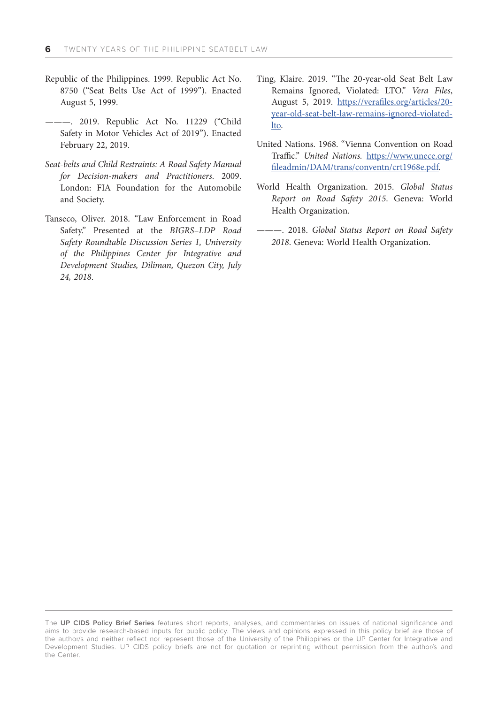- Republic of the Philippines. 1999. Republic Act No. 8750 ("Seat Belts Use Act of 1999"). Enacted August 5, 1999.
- ———. 2019. Republic Act No. 11229 ("Child Safety in Motor Vehicles Act of 2019"). Enacted February 22, 2019.
- *Seat-belts and Child Restraints: A Road Safety Manual for Decision-makers and Practitioners*. 2009. London: FIA Foundation for the Automobile and Society.
- Tanseco, Oliver. 2018. "Law Enforcement in Road Safety." Presented at the *BIGRS–LDP Road Safety Roundtable Discussion Series 1, University of the Philippines Center for Integrative and Development Studies, Diliman, Quezon City, July 24, 2018*.
- Ting, Klaire. 2019. "The 20-year-old Seat Belt Law Remains Ignored, Violated: LTO." *Vera Files*, August 5, 2019. [https://verafiles.org/articles/20](https://verafiles.org/articles/20-year-old-seat-belt-law-remains-ignored-violated-lto) [year-old-seat-belt-law-remains-ignored-violated](https://verafiles.org/articles/20-year-old-seat-belt-law-remains-ignored-violated-lto)[lto.](https://verafiles.org/articles/20-year-old-seat-belt-law-remains-ignored-violated-lto)
- United Nations. 1968. "Vienna Convention on Road Traffic." *United Nations.* [https://www.unece.org/](https://www.unece.org/fileadmin/DAM/trans/conventn/crt1968e.pdf) [fileadmin/DAM/trans/conventn/crt1968e.pdf.](https://www.unece.org/fileadmin/DAM/trans/conventn/crt1968e.pdf)
- World Health Organization. 2015. *Global Status Report on Road Safety 2015*. Geneva: World Health Organization.
- ———. 2018. *Global Status Report on Road Safety 2018*. Geneva: World Health Organization.

The **UP CIDS Policy Brief Series** features short reports, analyses, and commentaries on issues of national significance and aims to provide research-based inputs for public policy. The views and opinions expressed in this policy brief are those of the author/s and neither reflect nor represent those of the University of the Philippines or the UP Center for Integrative and Development Studies. UP CIDS policy briefs are not for quotation or reprinting without permission from the author/s and the Center.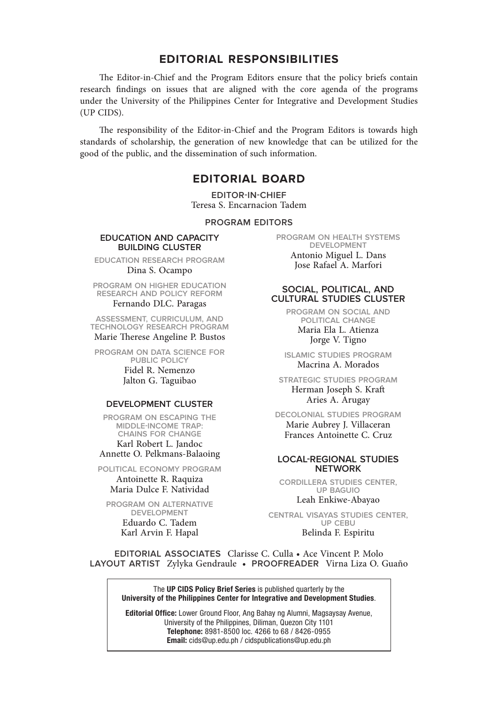# **EDITORIAL RESPONSIBILITIES**

The Editor-in-Chief and the Program Editors ensure that the policy briefs contain research findings on issues that are aligned with the core agenda of the programs under the University of the Philippines Center for Integrative and Development Studies (UP CIDS).

The responsibility of the Editor-in-Chief and the Program Editors is towards high standards of scholarship, the generation of new knowledge that can be utilized for the good of the public, and the dissemination of such information.

# **EDITORIAL BOARD**

**EDITOR-IN-CHIEF** Teresa S. Encarnacion Tadem

**PROGRAM EDITORS**

### **EDUCATION AND CAPACITY BUILDING CLUSTER**

**EDUCATION RESEARCH PROGRAM** Dina S. Ocampo

**PROGRAM ON HIGHER EDUCATION RESEARCH AND POLICY REFORM** Fernando DLC. Paragas

**ASSESSMENT, CURRICULUM, AND TECHNOLOGY RESEARCH PROGRAM**

Marie Therese Angeline P. Bustos

**PROGRAM ON DATA SCIENCE FOR PUBLIC POLICY**

> Fidel R. Nemenzo Jalton G. Taguibao

## **DEVELOPMENT CLUSTER**

**PROGRAM ON ESCAPING THE MIDDLE-INCOME TRAP: CHAINS FOR CHANGE** Karl Robert L. Jandoc Annette O. Pelkmans-Balaoing

**POLITICAL ECONOMY PROGRAM** Antoinette R. Raquiza Maria Dulce F. Natividad

**PROGRAM ON ALTERNATIVE DEVELOPMENT**

> Eduardo C. Tadem Karl Arvin F. Hapal

**PROGRAM ON HEALTH SYSTEMS DEVELOPMENT** Antonio Miguel L. Dans Jose Rafael A. Marfori

## **SOCIAL, POLITICAL, AND CULTURAL STUDIES CLUSTER**

**PROGRAM ON SOCIAL AND POLITICAL CHANGE** Maria Ela L. Atienza Jorge V. Tigno

**ISLAMIC STUDIES PROGRAM** Macrina A. Morados

**STRATEGIC STUDIES PROGRAM** Herman Joseph S. Kraft Aries A. Arugay

**DECOLONIAL STUDIES PROGRAM** Marie Aubrey J. Villaceran Frances Antoinette C. Cruz

### **LOCAL-REGIONAL STUDIES NETWORK**

**CORDILLERA STUDIES CENTER, UP BAGUIO** Leah Enkiwe-Abayao

**CENTRAL VISAYAS STUDIES CENTER, UP CEBU** Belinda F. Espiritu

**EDITORIAL ASSOCIATES** Clarisse C. Culla • Ace Vincent P. Molo **LAYOUT ARTIST** Zylyka Gendraule • **PROOFREADER** Virna Liza O. Guaño

> The UP CIDS Policy Brief Series is published quarterly by the University of the Philippines Center for Integrative and Development Studies.

Editorial Office: Lower Ground Floor, Ang Bahay ng Alumni, Magsaysay Avenue, University of the Philippines, Diliman, Quezon City 1101 Telephone: 8981-8500 loc. 4266 to 68 / 8426-0955 Email: cids@up.edu.ph / cidspublications@up.edu.ph